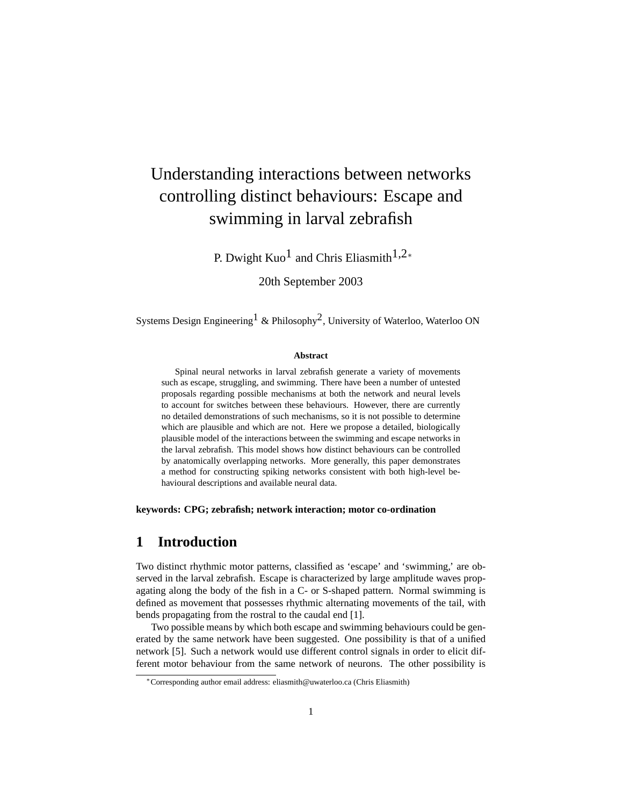# Understanding interactions between networks controlling distinct behaviours: Escape and swimming in larval zebrafish

P. Dwight  $Kuo<sup>1</sup>$  and Chris Eliasmith<sup>1,2</sup><sup>∗</sup>

20th September 2003

Systems Design Engineering<sup>1</sup> & Philosophy<sup>2</sup>, University of Waterloo, Waterloo ON

#### **Abstract**

Spinal neural networks in larval zebrafish generate a variety of movements such as escape, struggling, and swimming. There have been a number of untested proposals regarding possible mechanisms at both the network and neural levels to account for switches between these behaviours. However, there are currently no detailed demonstrations of such mechanisms, so it is not possible to determine which are plausible and which are not. Here we propose a detailed, biologically plausible model of the interactions between the swimming and escape networks in the larval zebrafish. This model shows how distinct behaviours can be controlled by anatomically overlapping networks. More generally, this paper demonstrates a method for constructing spiking networks consistent with both high-level behavioural descriptions and available neural data.

**keywords: CPG; zebrafish; network interaction; motor co-ordination**

### **1 Introduction**

Two distinct rhythmic motor patterns, classified as 'escape' and 'swimming,' are observed in the larval zebrafish. Escape is characterized by large amplitude waves propagating along the body of the fish in a C- or S-shaped pattern. Normal swimming is defined as movement that possesses rhythmic alternating movements of the tail, with bends propagating from the rostral to the caudal end [1].

Two possible means by which both escape and swimming behaviours could be generated by the same network have been suggested. One possibility is that of a unified network [5]. Such a network would use different control signals in order to elicit different motor behaviour from the same network of neurons. The other possibility is

<sup>∗</sup>Corresponding author email address: eliasmith@uwaterloo.ca (Chris Eliasmith)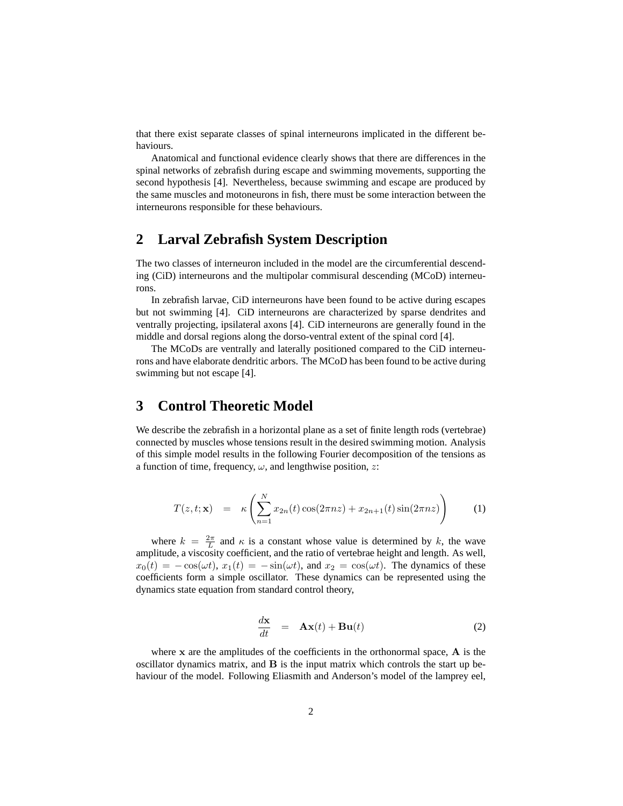that there exist separate classes of spinal interneurons implicated in the different behaviours.

Anatomical and functional evidence clearly shows that there are differences in the spinal networks of zebrafish during escape and swimming movements, supporting the second hypothesis [4]. Nevertheless, because swimming and escape are produced by the same muscles and motoneurons in fish, there must be some interaction between the interneurons responsible for these behaviours.

# **2 Larval Zebrafish System Description**

The two classes of interneuron included in the model are the circumferential descending (CiD) interneurons and the multipolar commisural descending (MCoD) interneurons.

In zebrafish larvae, CiD interneurons have been found to be active during escapes but not swimming [4]. CiD interneurons are characterized by sparse dendrites and ventrally projecting, ipsilateral axons [4]. CiD interneurons are generally found in the middle and dorsal regions along the dorso-ventral extent of the spinal cord [4].

The MCoDs are ventrally and laterally positioned compared to the CiD interneurons and have elaborate dendritic arbors. The MCoD has been found to be active during swimming but not escape [4].

### **3 Control Theoretic Model**

We describe the zebrafish in a horizontal plane as a set of finite length rods (vertebrae) connected by muscles whose tensions result in the desired swimming motion. Analysis of this simple model results in the following Fourier decomposition of the tensions as a function of time, frequency,  $\omega$ , and lengthwise position, z:

$$
T(z,t; \mathbf{x}) = \kappa \left( \sum_{n=1}^{N} x_{2n}(t) \cos(2\pi nz) + x_{2n+1}(t) \sin(2\pi nz) \right) \tag{1}
$$

where  $k = \frac{2\pi}{L}$  and  $\kappa$  is a constant whose value is determined by k, the wave amplitude, a viscosity coefficient, and the ratio of vertebrae height and length. As well,  $x_0(t) = -\cos(\omega t), x_1(t) = -\sin(\omega t)$ , and  $x_2 = \cos(\omega t)$ . The dynamics of these coefficients form a simple oscillator. These dynamics can be represented using the dynamics state equation from standard control theory,

$$
\frac{d\mathbf{x}}{dt} = \mathbf{A}\mathbf{x}(t) + \mathbf{B}\mathbf{u}(t) \tag{2}
$$

where  $x$  are the amplitudes of the coefficients in the orthonormal space,  $A$  is the oscillator dynamics matrix, and B is the input matrix which controls the start up behaviour of the model. Following Eliasmith and Anderson's model of the lamprey eel,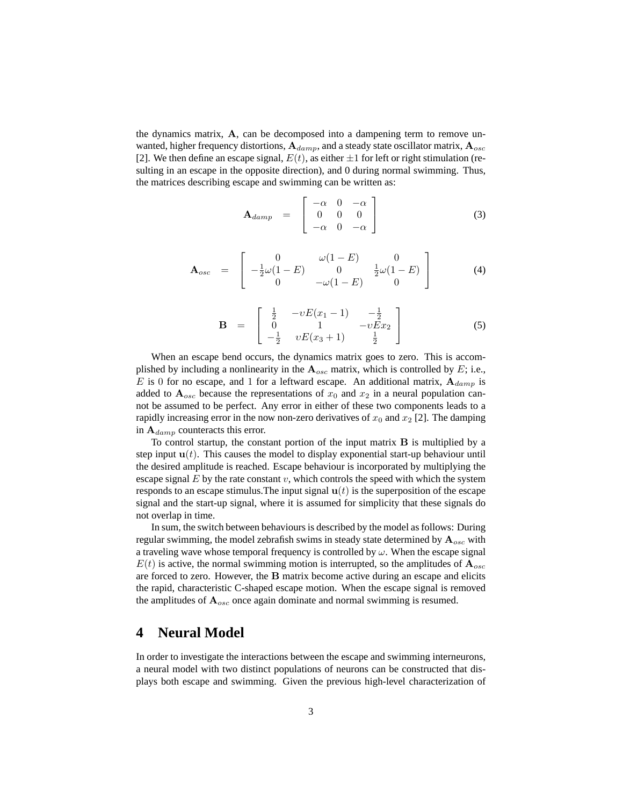the dynamics matrix,  $A$ , can be decomposed into a dampening term to remove unwanted, higher frequency distortions,  $A_{damp}$ , and a steady state oscillator matrix,  $A_{osc}$ [2]. We then define an escape signal,  $E(t)$ , as either  $\pm 1$  for left or right stimulation (resulting in an escape in the opposite direction), and 0 during normal swimming. Thus, the matrices describing escape and swimming can be written as:

$$
\mathbf{A}_{damp} = \begin{bmatrix} -\alpha & 0 & -\alpha \\ 0 & 0 & 0 \\ -\alpha & 0 & -\alpha \end{bmatrix}
$$
 (3)

$$
\mathbf{A}_{osc} = \begin{bmatrix} 0 & \omega(1-E) & 0 \\ -\frac{1}{2}\omega(1-E) & 0 & \frac{1}{2}\omega(1-E) \\ 0 & -\omega(1-E) & 0 \end{bmatrix}
$$
(4)

$$
\mathbf{B} = \begin{bmatrix} \frac{1}{2} & -vE(x_1 - 1) & -\frac{1}{2} \\ 0 & 1 & -vEx_2 \\ -\frac{1}{2} & vE(x_3 + 1) & \frac{1}{2} \end{bmatrix}
$$
(5)

When an escape bend occurs, the dynamics matrix goes to zero. This is accomplished by including a nonlinearity in the  $A_{osc}$  matrix, which is controlled by E; i.e., E is 0 for no escape, and 1 for a leftward escape. An additional matrix,  $A_{damp}$  is added to  $A_{osc}$  because the representations of  $x_0$  and  $x_2$  in a neural population cannot be assumed to be perfect. Any error in either of these two components leads to a rapidly increasing error in the now non-zero derivatives of  $x_0$  and  $x_2$  [2]. The damping in  $A_{damp}$  counteracts this error.

To control startup, the constant portion of the input matrix B is multiplied by a step input  $u(t)$ . This causes the model to display exponential start-up behaviour until the desired amplitude is reached. Escape behaviour is incorporated by multiplying the escape signal  $E$  by the rate constant  $v$ , which controls the speed with which the system responds to an escape stimulus. The input signal  $u(t)$  is the superposition of the escape signal and the start-up signal, where it is assumed for simplicity that these signals do not overlap in time.

In sum, the switch between behaviours is described by the model as follows: During regular swimming, the model zebrafish swims in steady state determined by  $\mathbf{A}_{osc}$  with a traveling wave whose temporal frequency is controlled by  $\omega$ . When the escape signal  $E(t)$  is active, the normal swimming motion is interrupted, so the amplitudes of  $\mathbf{A}_{osc}$ are forced to zero. However, the B matrix become active during an escape and elicits the rapid, characteristic C-shaped escape motion. When the escape signal is removed the amplitudes of  $A_{osc}$  once again dominate and normal swimming is resumed.

#### **4 Neural Model**

In order to investigate the interactions between the escape and swimming interneurons, a neural model with two distinct populations of neurons can be constructed that displays both escape and swimming. Given the previous high-level characterization of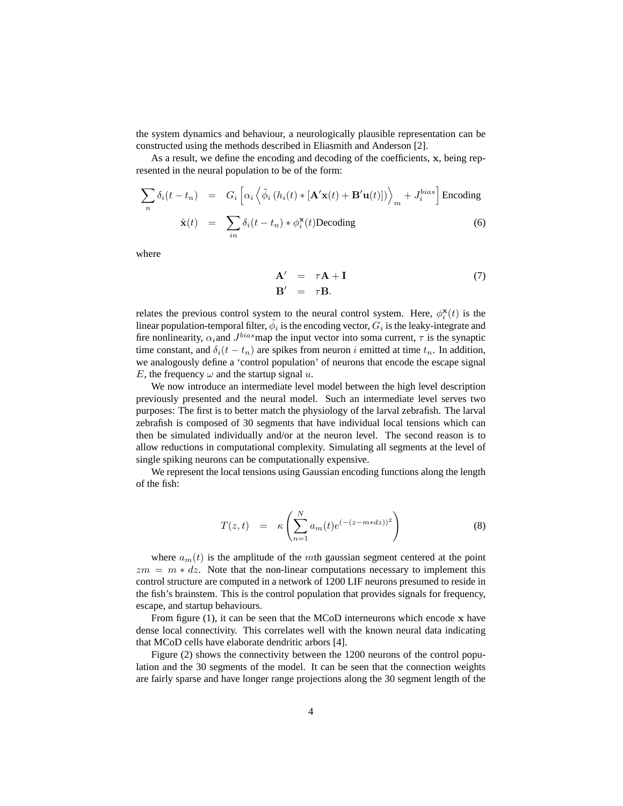the system dynamics and behaviour, a neurologically plausible representation can be constructed using the methods described in Eliasmith and Anderson [2].

As a result, we define the encoding and decoding of the coefficients, x, being represented in the neural population to be of the form:

$$
\sum_{n} \delta_{i}(t - t_{n}) = G_{i} \left[ \alpha_{i} \left\langle \tilde{\phi}_{i} \left( h_{i}(t) * [\mathbf{A}^{\prime} \mathbf{x}(t) + \mathbf{B}^{\prime} \mathbf{u}(t)] \right) \right\rangle_{m} + J_{i}^{bias} \right] \text{Encoding}
$$
\n
$$
\hat{\mathbf{x}}(t) = \sum_{in} \delta_{i}(t - t_{n}) * \phi_{i}^{*}(t) \text{Decoding}
$$
\n(6)

where

$$
\mathbf{A}' = \tau \mathbf{A} + \mathbf{I} \tag{7}
$$

$$
\mathbf{B}' = \tau \mathbf{B}.
$$

relates the previous control system to the neural control system. Here,  $\phi_i^{\mathbf{x}}(t)$  is the linear population-temporal filter,  $\tilde{\phi}_i$  is the encoding vector,  $G_i$  is the leaky-integrate and fire nonlinearity,  $\alpha_i$  and  $J^{bias}$  map the input vector into soma current,  $\tau$  is the synaptic time constant, and  $\delta_i(t - t_n)$  are spikes from neuron i emitted at time  $t_n$ . In addition, we analogously define a 'control population' of neurons that encode the escape signal E, the frequency  $\omega$  and the startup signal u.

We now introduce an intermediate level model between the high level description previously presented and the neural model. Such an intermediate level serves two purposes: The first is to better match the physiology of the larval zebrafish. The larval zebrafish is composed of 30 segments that have individual local tensions which can then be simulated individually and/or at the neuron level. The second reason is to allow reductions in computational complexity. Simulating all segments at the level of single spiking neurons can be computationally expensive.

We represent the local tensions using Gaussian encoding functions along the length of the fish:

$$
T(z,t) = \kappa \left( \sum_{n=1}^{N} a_m(t) e^{(-(z-m*dz))^2} \right) \tag{8}
$$

where  $a_m(t)$  is the amplitude of the mth gaussian segment centered at the point  $zm = m * dz$ . Note that the non-linear computations necessary to implement this control structure are computed in a network of 1200 LIF neurons presumed to reside in the fish's brainstem. This is the control population that provides signals for frequency, escape, and startup behaviours.

From figure (1), it can be seen that the MCoD interneurons which encode x have dense local connectivity. This correlates well with the known neural data indicating that MCoD cells have elaborate dendritic arbors [4].

Figure (2) shows the connectivity between the 1200 neurons of the control population and the 30 segments of the model. It can be seen that the connection weights are fairly sparse and have longer range projections along the 30 segment length of the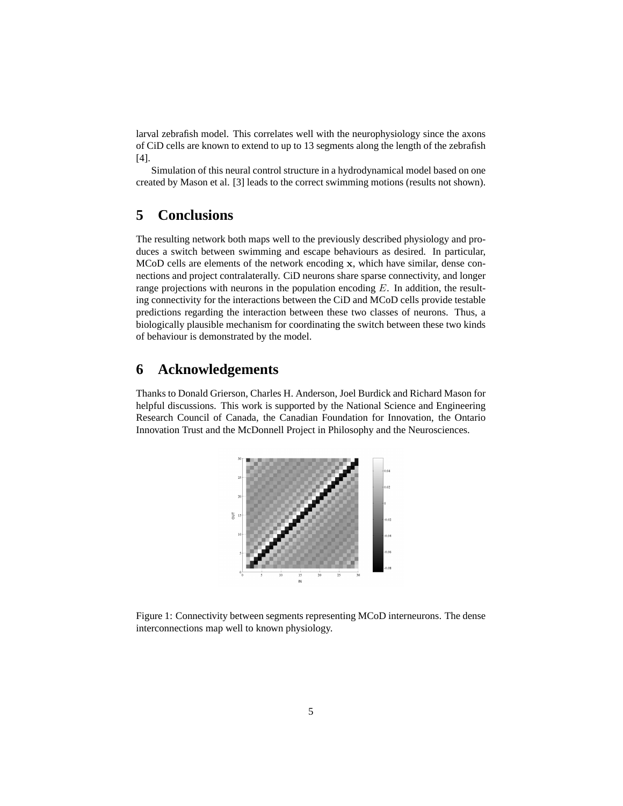larval zebrafish model. This correlates well with the neurophysiology since the axons of CiD cells are known to extend to up to 13 segments along the length of the zebrafish [4].

Simulation of this neural control structure in a hydrodynamical model based on one created by Mason et al. [3] leads to the correct swimming motions (results not shown).

## **5 Conclusions**

The resulting network both maps well to the previously described physiology and produces a switch between swimming and escape behaviours as desired. In particular, MCoD cells are elements of the network encoding x, which have similar, dense connections and project contralaterally. CiD neurons share sparse connectivity, and longer range projections with neurons in the population encoding  $E$ . In addition, the resulting connectivity for the interactions between the CiD and MCoD cells provide testable predictions regarding the interaction between these two classes of neurons. Thus, a biologically plausible mechanism for coordinating the switch between these two kinds of behaviour is demonstrated by the model.

### **6 Acknowledgements**

Thanks to Donald Grierson, Charles H. Anderson, Joel Burdick and Richard Mason for helpful discussions. This work is supported by the National Science and Engineering Research Council of Canada, the Canadian Foundation for Innovation, the Ontario Innovation Trust and the McDonnell Project in Philosophy and the Neurosciences.



Figure 1: Connectivity between segments representing MCoD interneurons. The dense interconnections map well to known physiology.